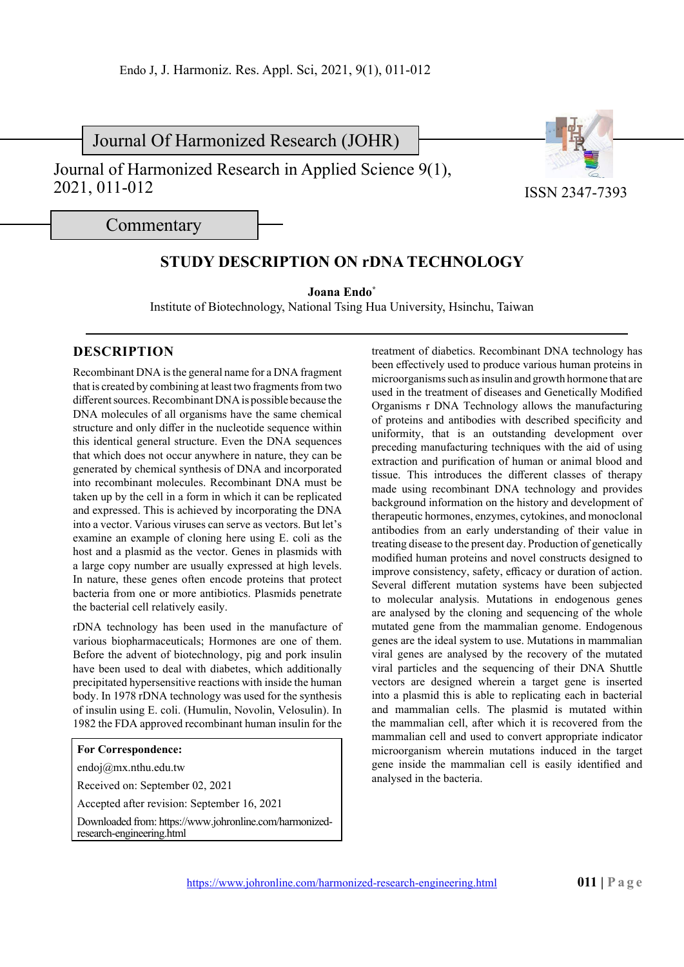Journal Of Harmonized Research (JOHR)

Journal of Harmonized Research in Applied Science 9(1), 2021, 011-012



ISSN 2347-7393

Commentary

## **STUDY DESCRIPTION ON rDNA TECHNOLOGY**

**Joana Endo\***

Institute of Biotechnology, National Tsing Hua University, Hsinchu, Taiwan

## **DESCRIPTION**

Recombinant DNA is the general name for a DNA fragment that is created by combining at least two fragments from two different sources. Recombinant DNA is possible because the DNA molecules of all organisms have the same chemical structure and only differ in the nucleotide sequence within this identical general structure. Even the DNA sequences that which does not occur anywhere in nature, they can be generated by chemical synthesis of DNA and incorporated into recombinant molecules. Recombinant DNA must be taken up by the cell in a form in which it can be replicated and expressed. This is achieved by incorporating the DNA into a vector. Various viruses can serve as vectors. But let's examine an example of cloning here using E. coli as the host and a plasmid as the vector. Genes in plasmids with a large copy number are usually expressed at high levels. In nature, these genes often encode proteins that protect bacteria from one or more antibiotics. Plasmids penetrate the bacterial cell relatively easily.

rDNA technology has been used in the manufacture of various biopharmaceuticals; Hormones are one of them. Before the advent of biotechnology, pig and pork insulin have been used to deal with diabetes, which additionally precipitated hypersensitive reactions with inside the human body. In 1978 rDNA technology was used for the synthesis of insulin using E. coli. (Humulin, Novolin, Velosulin). In 1982 the FDA approved recombinant human insulin for the

## **For Correspondence:**

endoj@mx.nthu.edu.tw

Received on: September 02, 2021

Accepted after revision: September 16, 2021

Downloaded from: https://www.johronline.com/harmonizedresearch-engineering.html

treatment of diabetics. Recombinant DNA technology has been effectively used to produce various human proteins in microorganisms such as insulin and growth hormone that are used in the treatment of diseases and Genetically Modified Organisms r DNA Technology allows the manufacturing of proteins and antibodies with described specificity and uniformity, that is an outstanding development over preceding manufacturing techniques with the aid of using extraction and purification of human or animal blood and tissue. This introduces the different classes of therapy made using recombinant DNA technology and provides background information on the history and development of therapeutic hormones, enzymes, cytokines, and monoclonal antibodies from an early understanding of their value in treating disease to the present day. Production of genetically modified human proteins and novel constructs designed to improve consistency, safety, efficacy or duration of action. Several different mutation systems have been subjected to molecular analysis. Mutations in endogenous genes are analysed by the cloning and sequencing of the whole mutated gene from the mammalian genome. Endogenous genes are the ideal system to use. Mutations in mammalian viral genes are analysed by the recovery of the mutated viral particles and the sequencing of their DNA Shuttle vectors are designed wherein a target gene is inserted into a plasmid this is able to replicating each in bacterial and mammalian cells. The plasmid is mutated within the mammalian cell, after which it is recovered from the mammalian cell and used to convert appropriate indicator microorganism wherein mutations induced in the target gene inside the mammalian cell is easily identified and analysed in the bacteria.